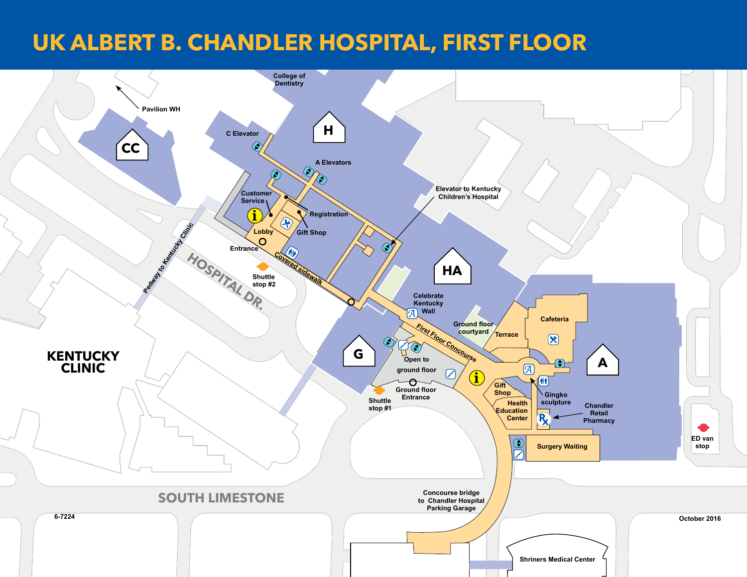## **UK ALBERT B. CHANDLER HOSPITAL, FIRST FLOOR**